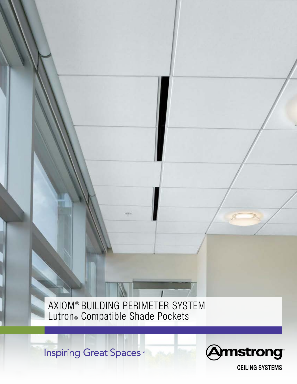AXIOM® BUILDING PERIMETER SYSTEM Lutron® Compatible Shade Pockets

**Inspiring Great Spaces<sup>™</sup>** 



**CEILING SYSTEMS**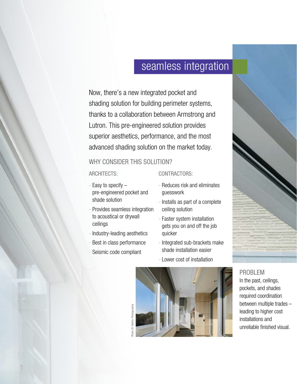# seamless integration

Now, there's a new integrated pocket and shading solution for building perimeter systems, thanks to a collaboration between Armstrong and Lutron. This pre-engineered solution provides superior aesthetics, performance, and the most advanced shading solution on the market today.

### WHY CONSIDER THIS SOLUTION?

#### ARCHITECTS:

- Easy to specify pre-engineered pocket and shade solution
- Provides seamless integration to acoustical or drywall ceilings
- Industry-leading aesthetics
- Best in class performance
- Seismic code compliant

### CONTRACTORS:

- Reduces risk and eliminates guesswork
- Installs as part of a complete ceiling solution
- Faster system installation gets you on and off the job quicker
- Integrated sub-brackets make shade installation easier
- Lower cost of installation



### PROBLEM

In the past, ceilings, pockets, and shades required coordination between multiple trades – leading to higher cost installations and unreliable finished visual.

© Halkin Photography Photo © Halkin Photography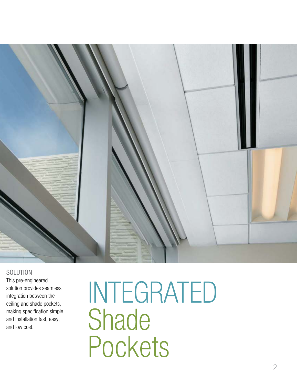

### **SOLUTION**

This pre-engineered solution provides seamless integration between the ceiling and shade pockets, making specification simple and installation fast, easy, and low cost.

INTEGRATED Shade Pockets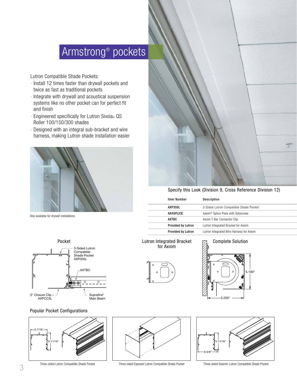# Armstrong® pockets

Lutron Compatible Shade Pockets:

- Install 12 times faster than drywall pockets and twice as fast as traditional pockets
- Integrate with drywall and acoustical suspension systems like no other pocket can for perfect fit and finish
- Engineered specifically for Lutron Sivoia® QS Roller 100/150/300 shades
- Designed with an integral sub-bracket and wire harness, making Lutron shade installation easier

![](_page_3_Picture_6.jpeg)

Also available for drywall installations

![](_page_3_Figure_8.jpeg)

#### Popular Pocket Configurations

![](_page_3_Figure_10.jpeg)

![](_page_3_Picture_12.jpeg)

Three-sided Lutron Compatible Shade Pocket Three-sided Exposed Lutron Compatible Shade Pocket Three-sided Seismic Lutron Compatible Shade Pocket

Specify this Look (Division 9, Cross Reference Division 12)

| <b>Item Number</b>        | Description                                    |
|---------------------------|------------------------------------------------|
| <b>AXP355L</b>            | 3-Sided Lutron Compatible Shade Pocket         |
| <b>AX4SPLICE</b>          | Axiom <sup>®</sup> Splice Plate with Setscrews |
| AXTBC                     | Axiom T-Bar Connector Clip                     |
| <b>Provided by Lutron</b> | Lutron Integrated Bracket for Axiom            |
| <b>Provided by Lutron</b> | Lutron Integrated Wire Harness for Axiom       |

# for Axiom

![](_page_3_Picture_17.jpeg)

![](_page_3_Figure_18.jpeg)

![](_page_3_Figure_19.jpeg)

![](_page_3_Picture_20.jpeg)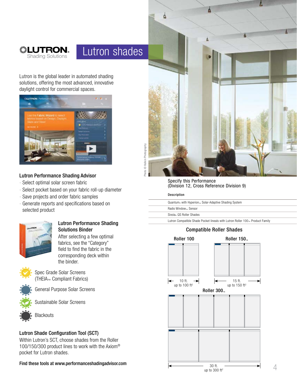![](_page_4_Picture_0.jpeg)

# Lutron shades

Lutron is the global leader in automated shading solutions, offering the most advanced, innovative daylight control for commercial spaces.

![](_page_4_Picture_3.jpeg)

#### Lutron Performance Shading Advisor

- Select optimal solar screen fabric
- Select pocket based on your fabric roll-up diameter
- Save projects and order fabric samples
- Generate reports and specifications based on selected product

![](_page_4_Picture_9.jpeg)

### Lutron Performance Shading Solutions Binder

After selecting a few optimal fabrics, see the "Category" field to find the fabric in the corresponding deck within the binder.

![](_page_4_Picture_12.jpeg)

Spec Grade Solar Screens (THEIA™ Compliant Fabrics)

![](_page_4_Picture_14.jpeg)

Sustainable Solar Screens

General Purpose Solar Screens

![](_page_4_Picture_16.jpeg)

**Blackouts** 

### Lutron Shade Configuration Tool (SCT)

Within Lutron's SCT, choose shades from the Roller 100/150/300 product lines to work with the Axiom® pocket for Lutron shades.

Find these tools at www.performanceshadingadvisor.com

![](_page_4_Picture_21.jpeg)

#### Specify this Performance (Division 12, Cross Reference Division 9)

#### Description

Quantum® with Hyperion™ Solar-Adaptive Shading System

Radio Window<sub>™</sub> Sensor

Sivoia® QS Roller Shades

Lutron Compatible Shade Pocket lineals with Lutron Roller 100™ Product Family

### Compatible Roller Shades

#### Roller 100

Roller 150<sub>™</sub>

![](_page_4_Figure_31.jpeg)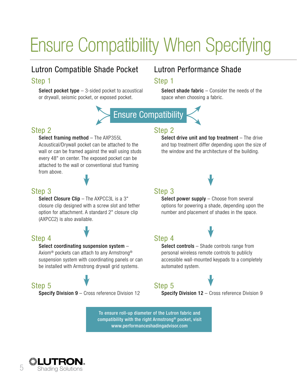# Ensure Compatibility When Specifying

# Lutron Compatible Shade Pocket Step 1

**Select pocket type**  $-$  3-sided pocket to acoustical or drywall, seismic pocket, or exposed pocket.

# Lutron Performance Shade

### Step 1

Select shade fabric – Consider the needs of the space when choosing a fabric.

![](_page_5_Picture_6.jpeg)

# Step 2

Select framing method - The AXP355L Acoustical/Drywall pocket can be attached to the wall or can be framed against the wall using studs every 48" on center. The exposed pocket can be attached to the wall or conventional stud framing from above.

# Step 2

Select drive unit and top treatment – The drive and top treatment differ depending upon the size of the window and the architecture of the building.

### Step 3

Select Closure Clip - The AXPCC3L is a 3" closure clip designed with a screw slot and tether option for attachment. A standard 2" closure clip (AXPCC2) is also available.

# Step 4

#### Select coordinating suspension system –

Axiom® pockets can attach to any Armstrong® suspension system with coordinating panels or can be installed with Armstrong drywall grid systems.

# Step 5

Specify Division 9 - Cross reference Division 12

# Step 3

Select power supply – Choose from several options for powering a shade, depending upon the number and placement of shades in the space.

# Step 4

![](_page_5_Picture_21.jpeg)

Select controls – Shade controls range from personal wireless remote controls to publicly accessible wall-mounted keypads to a completely automated system.

# Step 5

Specify Division 12 - Cross reference Division 9

To ensure roll-up diameter of the Lutron fabric and compatibility with the right Armstrong® pocket, visit www.performanceshadingadvisor.com

![](_page_5_Picture_26.jpeg)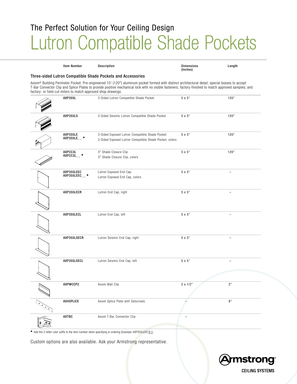# The Perfect Solution for Your Ceiling Design Lutron Compatible Shade Pockets

| <b>Item Number</b>                                            | Description                                                                                                                                                                                                                                                                                              | <b>Dimensions</b><br>(Inches) | Length                   |
|---------------------------------------------------------------|----------------------------------------------------------------------------------------------------------------------------------------------------------------------------------------------------------------------------------------------------------------------------------------------------------|-------------------------------|--------------------------|
|                                                               | Three-sided Lutron Compatible Shade Pockets and Accessories                                                                                                                                                                                                                                              |                               |                          |
| factory- or field-cut miters to match approved shop drawings. | Axiom® Building Perimeter Pocket: Pre-engineered 10' (120") aluminum pocket formed with distinct architectural detail; special bosses to accept<br>T-Bar Connector Clip and Splice Plates to provide positive mechanical lock with no visible fasteners; factory-finished to match approved samples; and |                               |                          |
| <b>AXP355L</b>                                                | 3-Sided Lutron Compatible Shade Pocket                                                                                                                                                                                                                                                                   | 5 x 5"                        | 120"                     |
| <b>AXP355LS</b>                                               | 3-Sided Seismic Lutron Compatible Shade Pocket                                                                                                                                                                                                                                                           | 5 x 5"                        | 120"                     |
| AXP355LE<br>AXP355LE__ +                                      | 3-Sided Exposed Lutron Compatible Shade Pocket<br>3-Sided Exposed Lutron Compatible Shade Pocket, colors                                                                                                                                                                                                 | 5 x 5"                        | 120"                     |
| AXPCC3L<br>AXPCC3L_+                                          | 3" Shade Closure Clip<br>3" Shade Closure Clip, colors                                                                                                                                                                                                                                                   | 5 x 5"                        | 120"                     |
| AXP355LEEC<br>$AXP355LEEC$ <sub>__</sub> $\bullet$            | Lutron Exposed End Cap<br>Lutron Exposed End Cap, colors                                                                                                                                                                                                                                                 | 5 x 5"                        |                          |
| AXP355LECR                                                    | Lutron End Cap, right                                                                                                                                                                                                                                                                                    | 5 x 5"                        | L,                       |
| AXP355LECL                                                    | Lutron End Cap, left                                                                                                                                                                                                                                                                                     | 5 x 5"                        | $\overline{\phantom{0}}$ |
| AXP355LSECR                                                   | Lutron Seismic End Cap, right                                                                                                                                                                                                                                                                            | 5 x 5"                        | L,                       |
| AXP355LSECL                                                   | Lutron Seismic End Cap, left                                                                                                                                                                                                                                                                             | 5 x 5"                        |                          |
| AXPWCCP2                                                      | Axiom Wall Clip                                                                                                                                                                                                                                                                                          | 2 x 1/2"                      | 2"                       |
| AX4SPLICE                                                     | Axiom Splice Plate with Setscrews                                                                                                                                                                                                                                                                        |                               | 8"                       |
| AXTBC                                                         | Axiom T-Bar Connector Clip                                                                                                                                                                                                                                                                               |                               |                          |

◆ Add the 2-letter color suffix to the item number when specifying or ordering (Example: AXP355LEXX <u>B L</u>)

Custom options are also available. Ask your Armstrong representative.

![](_page_6_Picture_4.jpeg)